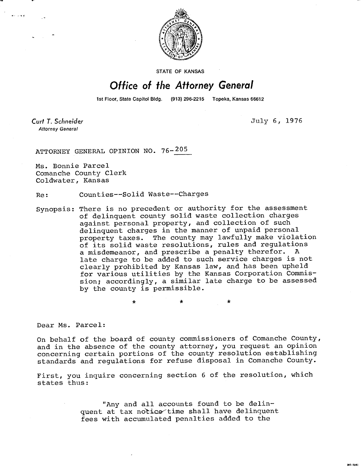

**STATE OF KANSAS** 

## Office of the Attorney General

1st Floor, State Capitol Bldg. (913) 296-2215 Topeka, Kansas 66612

 $\star$ 

Curt T. Schneider **Attorney General** 

July 6, 1976

ATTORNEY GENERAL OPINION NO. 76- 205

Ms. Bonnie Parcel Comanche County Clerk Coldwater, Kansas

Re: Counties--Solid Waste--Charges

Synopsis: There is no precedent or authority for the assessment of delinquent county solid waste collection charges against personal property, and collection of such delinquent charges in the manner of unpaid personal property taxes. The county may lawfully make violation of its solid waste resolutions, rules and regulations a misdemeanor, and prescribe a penalty therefor. A late charge to be added to such service charges is not clearly prohibited by Kansas law, and has been upheld for various utilities by the Kansas Corporation Commission; accordingly, a similar late charge to be assessed by the county is permissible.

Dear Ms. Parcel:

On behalf of the board of county commissioners of Comanche County, and in the absence of the county attorney, you request an opinion concerning certain portions of the county resolution establishing standards and regulations for refuse disposal in Comanche County.

First, you inquire concerning section 6 of the resolution, which states thus:

> "Any and all accounts found to be delinquent at tax notice time shall have delinquent fees with accumulated penalties added to the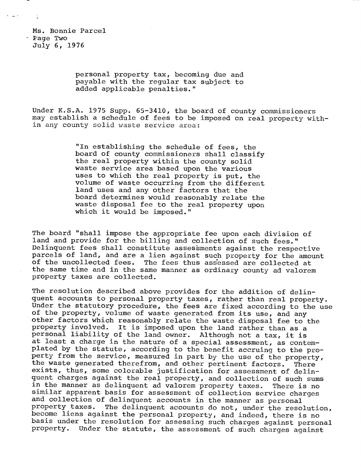Ms. Bonnie Parcel - Page Two July 6, 1976

 $\epsilon = \sqrt{2}$ 

personal property tax, becoming due and payable with the regular tax subject to added applicable penalties."

Under K.S.A. 1975 Supp. 65-3410, the board of county commissioners may establish a schedule of fees to be imposed on real property within any county solid waste service area:

> "In establishing the schedule of fees, the board of county commissioners shall classify the real property within the county solid waste service area based upon the various uses to which the real property is put, the volume of waste occurring from the different land uses and any other factors that the board determines would reasonably relate the waste disposal fee to the real property upon which it would be imposed."

The board "shall impose the appropriate fee upon each division of land and provide for the billing and collection of such fees." Delinquent fees shall constitute assessments against the respective parcels of land, and are a lien against such property for the amount of the uncollected fees. The fees thus assessed are collected at the same time and in the same manner as ordinary county ad valorem property taxes are collected.

The resolution described above provides for the addition of delinquent accounts to personal property taxes, rather than real property. Under the statutory procedure, the fees are fixed according to the use of the property, volume of waste generated from its use, and any other factors which reasonably relate the waste disposal fee to the property involved. It is imposed upon the land rather than as a personal liability of the land owner. Although not a tax, it is at least a charge in the nature of a special assessment, as contemplated by the statute, according to the benefit accruing to the property from the service, measured in part by the use of the property, the waste generated therefrom, and other pertinent factors. There exists, thus, some colorable justification for assessment of delinquent charges against the real property, and collection of such sums in the manner as delinquent ad valorem property taxes. There is no similar apparent basis for assessment of collection service charges and collection of delinquent accounts in the manner as personal property taxes. The delinquent accounts do not, under the resolution, become liens against the personal property, and indeed, there is no basis under the resolution for assessing such charges against personal property. Under the statute, the assessment of such charges against